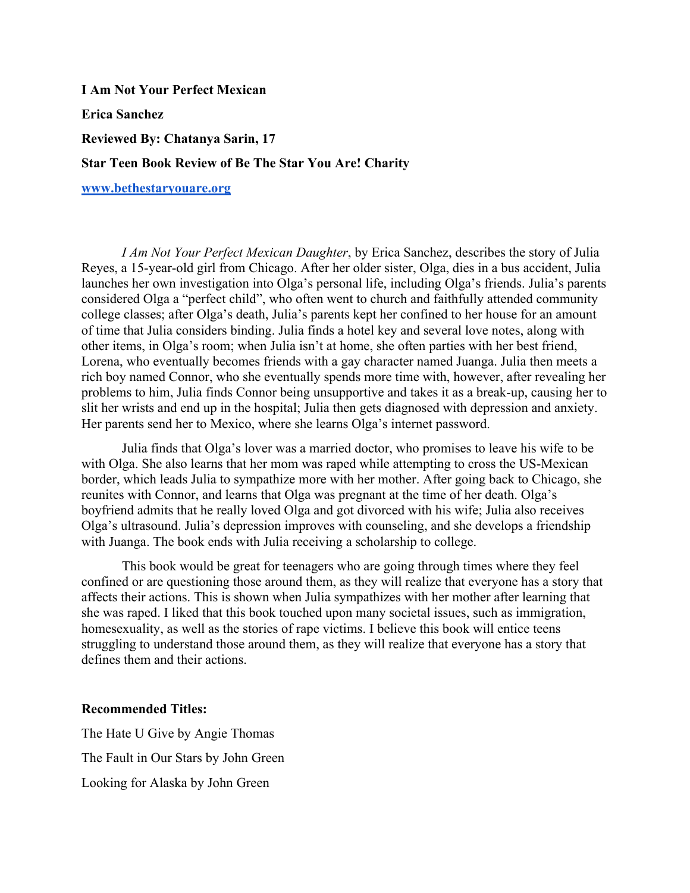**I Am Not Your Perfect Mexican Erica Sanchez Reviewed By: Chatanya Sarin, 17 Star Teen Book Review of Be The Star You Are! Charity www.bethestaryouare.org**

*I Am Not Your Perfect Mexican Daughter*, by Erica Sanchez, describes the story of Julia Reyes, a 15-year-old girl from Chicago. After her older sister, Olga, dies in a bus accident, Julia launches her own investigation into Olga's personal life, including Olga's friends. Julia's parents considered Olga a "perfect child", who often went to church and faithfully attended community college classes; after Olga's death, Julia's parents kept her confined to her house for an amount of time that Julia considers binding. Julia finds a hotel key and several love notes, along with other items, in Olga's room; when Julia isn't at home, she often parties with her best friend, Lorena, who eventually becomes friends with a gay character named Juanga. Julia then meets a rich boy named Connor, who she eventually spends more time with, however, after revealing her problems to him, Julia finds Connor being unsupportive and takes it as a break-up, causing her to slit her wrists and end up in the hospital; Julia then gets diagnosed with depression and anxiety. Her parents send her to Mexico, where she learns Olga's internet password.

Julia finds that Olga's lover was a married doctor, who promises to leave his wife to be with Olga. She also learns that her mom was raped while attempting to cross the US-Mexican border, which leads Julia to sympathize more with her mother. After going back to Chicago, she reunites with Connor, and learns that Olga was pregnant at the time of her death. Olga's boyfriend admits that he really loved Olga and got divorced with his wife; Julia also receives Olga's ultrasound. Julia's depression improves with counseling, and she develops a friendship with Juanga. The book ends with Julia receiving a scholarship to college.

This book would be great for teenagers who are going through times where they feel confined or are questioning those around them, as they will realize that everyone has a story that affects their actions. This is shown when Julia sympathizes with her mother after learning that she was raped. I liked that this book touched upon many societal issues, such as immigration, homesexuality, as well as the stories of rape victims. I believe this book will entice teens struggling to understand those around them, as they will realize that everyone has a story that defines them and their actions.

## **Recommended Titles:**

The Hate U Give by Angie Thomas The Fault in Our Stars by John Green Looking for Alaska by John Green